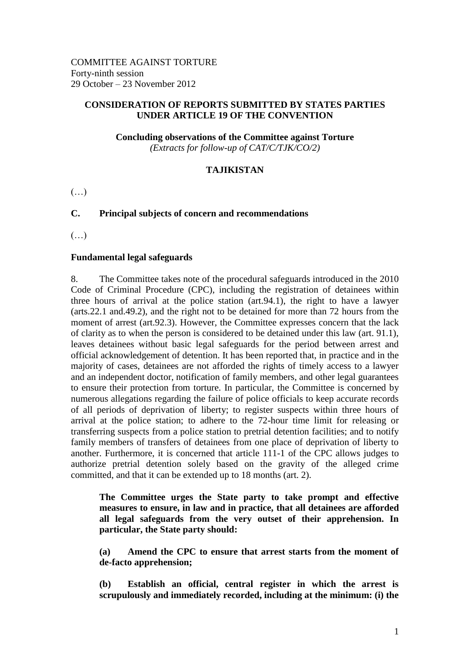### **CONSIDERATION OF REPORTS SUBMITTED BY STATES PARTIES UNDER ARTICLE 19 OF THE CONVENTION**

**Concluding observations of the Committee against Torture** *(Extracts for follow-up of CAT/C/TJK/CO/2)*

## **TAJIKISTAN**

 $(\ldots)$ 

# **C. Principal subjects of concern and recommendations**

(…)

#### **Fundamental legal safeguards**

8. The Committee takes note of the procedural safeguards introduced in the 2010 Code of Criminal Procedure (CPC), including the registration of detainees within three hours of arrival at the police station (art.94.1), the right to have a lawyer (arts.22.1 and.49.2), and the right not to be detained for more than 72 hours from the moment of arrest (art.92.3). However, the Committee expresses concern that the lack of clarity as to when the person is considered to be detained under this law (art. 91.1), leaves detainees without basic legal safeguards for the period between arrest and official acknowledgement of detention. It has been reported that, in practice and in the majority of cases, detainees are not afforded the rights of timely access to a lawyer and an independent doctor, notification of family members, and other legal guarantees to ensure their protection from torture. In particular, the Committee is concerned by numerous allegations regarding the failure of police officials to keep accurate records of all periods of deprivation of liberty; to register suspects within three hours of arrival at the police station; to adhere to the 72-hour time limit for releasing or transferring suspects from a police station to pretrial detention facilities; and to notify family members of transfers of detainees from one place of deprivation of liberty to another. Furthermore, it is concerned that article 111-1 of the CPC allows judges to authorize pretrial detention solely based on the gravity of the alleged crime committed, and that it can be extended up to 18 months (art. 2).

**The Committee urges the State party to take prompt and effective measures to ensure, in law and in practice, that all detainees are afforded all legal safeguards from the very outset of their apprehension. In particular, the State party should:**

**(a) Amend the CPC to ensure that arrest starts from the moment of de-facto apprehension;** 

**(b) Establish an official, central register in which the arrest is scrupulously and immediately recorded, including at the minimum: (i) the**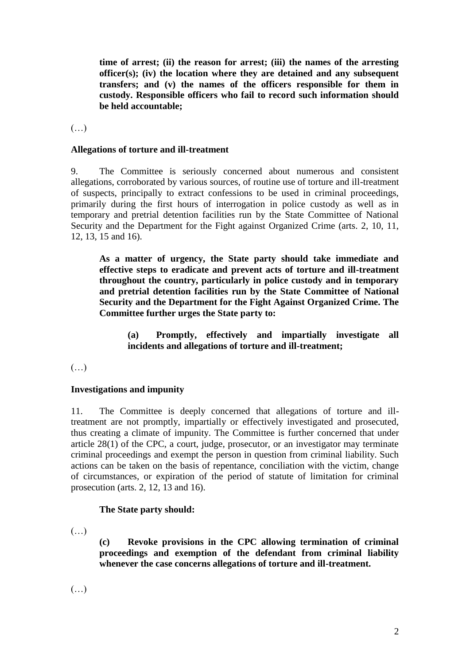**time of arrest; (ii) the reason for arrest; (iii) the names of the arresting officer(s); (iv) the location where they are detained and any subsequent transfers; and (v) the names of the officers responsible for them in custody. Responsible officers who fail to record such information should be held accountable;** 

(…)

### **Allegations of torture and ill-treatment**

9. The Committee is seriously concerned about numerous and consistent allegations, corroborated by various sources, of routine use of torture and ill-treatment of suspects, principally to extract confessions to be used in criminal proceedings, primarily during the first hours of interrogation in police custody as well as in temporary and pretrial detention facilities run by the State Committee of National Security and the Department for the Fight against Organized Crime (arts. 2, 10, 11, 12, 13, 15 and 16).

**As a matter of urgency, the State party should take immediate and effective steps to eradicate and prevent acts of torture and ill-treatment throughout the country, particularly in police custody and in temporary and pretrial detention facilities run by the State Committee of National Security and the Department for the Fight Against Organized Crime. The Committee further urges the State party to:** 

**(a) Promptly, effectively and impartially investigate all incidents and allegations of torture and ill-treatment;** 

(…)

## **Investigations and impunity**

11. The Committee is deeply concerned that allegations of torture and illtreatment are not promptly, impartially or effectively investigated and prosecuted, thus creating a climate of impunity. The Committee is further concerned that under article 28(1) of the CPC, a court, judge, prosecutor, or an investigator may terminate criminal proceedings and exempt the person in question from criminal liability. Such actions can be taken on the basis of repentance, conciliation with the victim, change of circumstances, or expiration of the period of statute of limitation for criminal prosecution (arts. 2, 12, 13 and 16).

#### **The State party should:**

 $(\ldots)$ 

**(c) Revoke provisions in the CPC allowing termination of criminal proceedings and exemption of the defendant from criminal liability whenever the case concerns allegations of torture and ill-treatment.**

(…)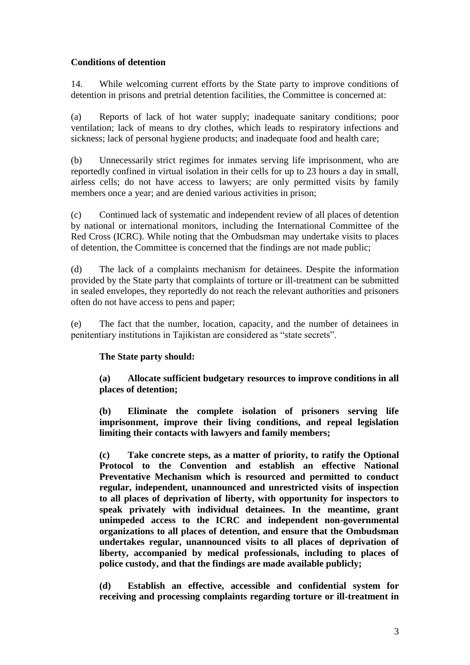## **Conditions of detention**

14. While welcoming current efforts by the State party to improve conditions of detention in prisons and pretrial detention facilities, the Committee is concerned at:

(a) Reports of lack of hot water supply; inadequate sanitary conditions; poor ventilation; lack of means to dry clothes, which leads to respiratory infections and sickness; lack of personal hygiene products; and inadequate food and health care;

(b) Unnecessarily strict regimes for inmates serving life imprisonment, who are reportedly confined in virtual isolation in their cells for up to 23 hours a day in small, airless cells; do not have access to lawyers; are only permitted visits by family members once a year; and are denied various activities in prison;

(c) Continued lack of systematic and independent review of all places of detention by national or international monitors, including the International Committee of the Red Cross (ICRC). While noting that the Ombudsman may undertake visits to places of detention, the Committee is concerned that the findings are not made public;

(d) The lack of a complaints mechanism for detainees. Despite the information provided by the State party that complaints of torture or ill-treatment can be submitted in sealed envelopes, they reportedly do not reach the relevant authorities and prisoners often do not have access to pens and paper;

(e) The fact that the number, location, capacity, and the number of detainees in penitentiary institutions in Tajikistan are considered as "state secrets".

## **The State party should:**

**(a) Allocate sufficient budgetary resources to improve conditions in all places of detention;** 

**(b) Eliminate the complete isolation of prisoners serving life imprisonment, improve their living conditions, and repeal legislation limiting their contacts with lawyers and family members;**

**(c) Take concrete steps, as a matter of priority, to ratify the Optional Protocol to the Convention and establish an effective National Preventative Mechanism which is resourced and permitted to conduct regular, independent, unannounced and unrestricted visits of inspection to all places of deprivation of liberty, with opportunity for inspectors to speak privately with individual detainees. In the meantime, grant unimpeded access to the ICRC and independent non-governmental organizations to all places of detention, and ensure that the Ombudsman undertakes regular, unannounced visits to all places of deprivation of liberty, accompanied by medical professionals, including to places of police custody, and that the findings are made available publicly;** 

**(d) Establish an effective, accessible and confidential system for receiving and processing complaints regarding torture or ill-treatment in**